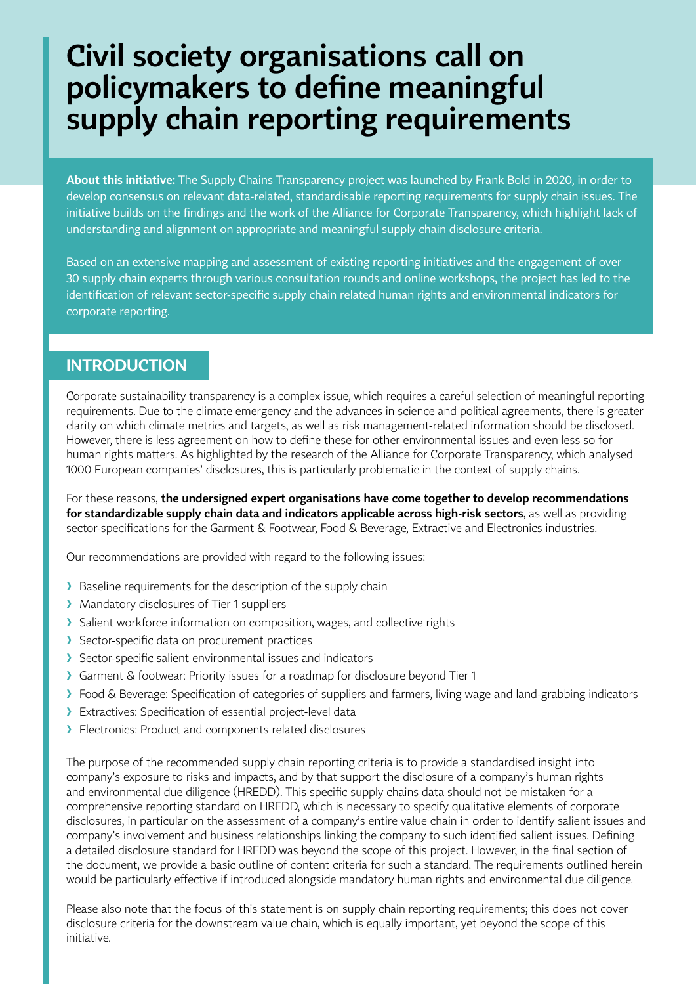# **Civil society organisations call on policymakers to define meaningful supply chain reporting requirements**

**About this initiative:** The Supply Chains Transparency project was launched by Frank Bold in 2020, in order to develop consensus on relevant data-related, standardisable reporting requirements for supply chain issues. The initiative builds on the findings and the work of the Alliance for Corporate Transparency, which highlight lack of understanding and alignment on appropriate and meaningful supply chain disclosure criteria.

Based on an extensive mapping and assessment of existing reporting initiatives and the engagement of over 30 supply chain experts through various consultation rounds and online workshops, the project has led to the identification of relevant sector-specific supply chain related human rights and environmental indicators for corporate reporting.

### **INTRODUCTION**

Corporate sustainability transparency is a complex issue, which requires a careful selection of meaningful reporting requirements. Due to the climate emergency and the advances in science and political agreements, there is greater clarity on which climate metrics and targets, as well as risk management-related information should be disclosed. However, there is less agreement on how to define these for other environmental issues and even less so for human rights matters. As highlighted by the research of the Alliance for Corporate Transparency, which analysed 1000 European companies' disclosures, this is particularly problematic in the context of supply chains.

For these reasons, **the undersigned expert organisations have come together to develop recommendations for standardizable supply chain data and indicators applicable across high-risk sectors**, as well as providing sector-specifications for the Garment & Footwear, Food & Beverage, Extractive and Electronics industries.

Our recommendations are provided with regard to the following issues:

- > Baseline requirements for the description of the supply chain
- > Mandatory disclosures of Tier 1 suppliers
- ▶ Salient workforce information on composition, wages, and collective rights
- > Sector-specific data on procurement practices
- > Sector-specific salient environmental issues and indicators
- ❯ Garment & footwear: Priority issues for a roadmap for disclosure beyond Tier 1
- ❯ Food & Beverage: Specification of categories of suppliers and farmers, living wage and land-grabbing indicators
- ❯ Extractives: Specification of essential project-level data
- > Electronics: Product and components related disclosures

The purpose of the recommended supply chain reporting criteria is to provide a standardised insight into company's exposure to risks and impacts, and by that support the disclosure of a company's human rights and environmental due diligence (HREDD). This specific supply chains data should not be mistaken for a comprehensive reporting standard on HREDD, which is necessary to specify qualitative elements of corporate disclosures, in particular on the assessment of a company's entire value chain in order to identify salient issues and company's involvement and business relationships linking the company to such identified salient issues. Defining a detailed disclosure standard for HREDD was beyond the scope of this project. However, in the final section of the document, we provide a basic outline of content criteria for such a standard. The requirements outlined herein would be particularly effective if introduced alongside mandatory human rights and environmental due diligence.

Please also note that the focus of this statement is on supply chain reporting requirements; this does not cover disclosure criteria for the downstream value chain, which is equally important, yet beyond the scope of this initiative.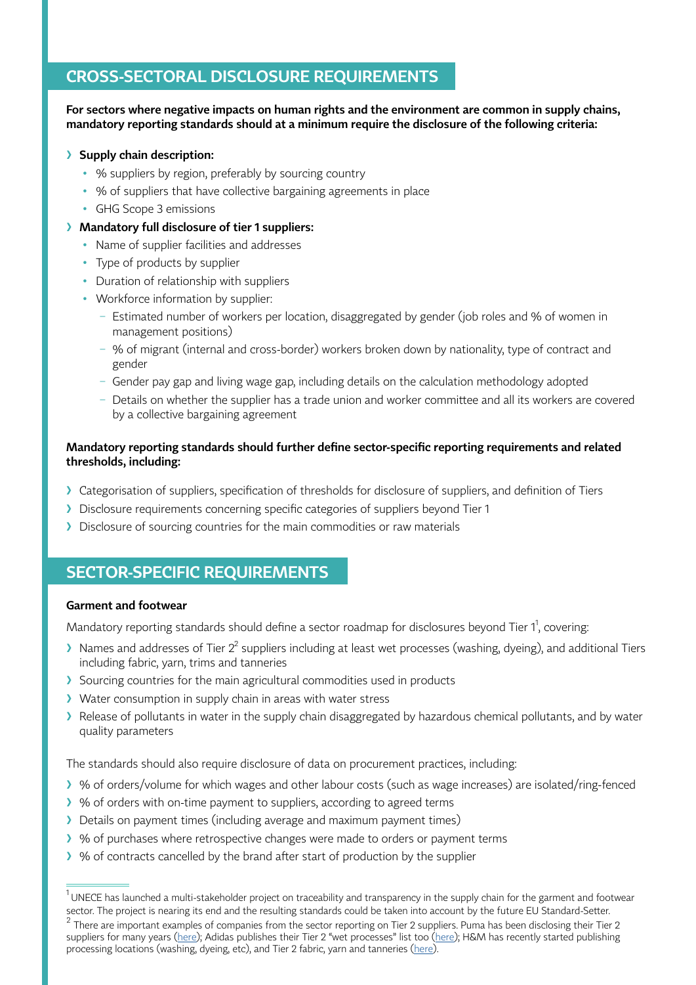## **CROSS-SECTORAL DISCLOSURE REQUIREMENTS**

**For sectors where negative impacts on human rights and the environment are common in supply chains, mandatory reporting standards should at a minimum require the disclosure of the following criteria:** 

#### ❯ **Supply chain description:**

- % suppliers by region, preferably by sourcing country
- % of suppliers that have collective bargaining agreements in place
- GHG Scope 3 emissions

#### ❯ **Mandatory full disclosure of tier 1 suppliers:**

- Name of supplier facilities and addresses
- Type of products by supplier
- Duration of relationship with suppliers
- Workforce information by supplier:
	- − Estimated number of workers per location, disaggregated by gender (job roles and % of women in management positions)
	- − % of migrant (internal and cross-border) workers broken down by nationality, type of contract and gender
	- − Gender pay gap and living wage gap, including details on the calculation methodology adopted
	- − Details on whether the supplier has a trade union and worker committee and all its workers are covered by a collective bargaining agreement

#### **Mandatory reporting standards should further define sector-specific reporting requirements and related thresholds, including:**

- ❯ Categorisation of suppliers, specification of thresholds for disclosure of suppliers, and definition of Tiers
- ❯ Disclosure requirements concerning specific categories of suppliers beyond Tier 1
- ❯ Disclosure of sourcing countries for the main commodities or raw materials

## **SECTOR-SPECIFIC REQUIREMENTS**

#### **Garment and footwear**

Mandatory reporting standards should define a sector roadmap for disclosures beyond Tier  $1^1$ , covering:

- $\lambda$  Names and addresses of Tier 2<sup>2</sup> suppliers including at least wet processes (washing, dyeing), and additional Tiers including fabric, yarn, trims and tanneries
- > Sourcing countries for the main agricultural commodities used in products
- ▶ Water consumption in supply chain in areas with water stress
- ▶ Release of pollutants in water in the supply chain disaggregated by hazardous chemical pollutants, and by water quality parameters

The standards should also require disclosure of data on procurement practices, including:

- ❯ % of orders/volume for which wages and other labour costs (such as wage increases) are isolated/ring-fenced
- ❯ % of orders with on-time payment to suppliers, according to agreed terms
- > Details on payment times (including average and maximum payment times)
- ❯ % of purchases where retrospective changes were made to orders or payment terms
- ❯ % of contracts cancelled by the brand after start of production by the supplier

 $^{\rm 1}$ UNECE has launched a multi-stakeholder project on traceability and transparency in the supply chain for the garment and footwear sector. The project is nearing its end and the resulting standards could be taken into account by the future EU Standard-Setter.

<sup>2</sup> There are important examples of companies from the sector reporting on Tier 2 suppliers. Puma has been disclosing their Tier 2 suppliers for many years ([here](https://about.puma.com/en/sustainability/social)); Adidas publishes their Tier 2 "wet processes" list too [\(here\)](https://www.adidas-group.com/en/sustainability/managing-sustainability/human-rights/supply-chain-structure/); H&M has recently started publishing processing locations (washing, dyeing, etc), and Tier 2 fabric, yarn and tanneries [\(here\)](https://hmgroup.com/sustainability/leading-the-change/supplier-list.html).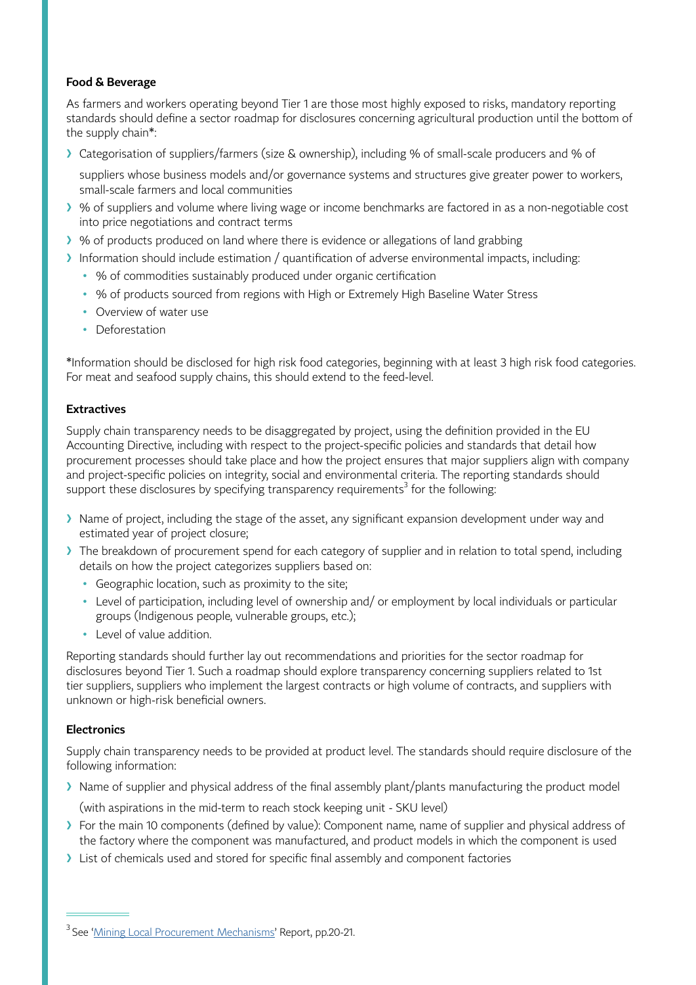#### **Food & Beverage**

As farmers and workers operating beyond Tier 1 are those most highly exposed to risks, mandatory reporting standards should define a sector roadmap for disclosures concerning agricultural production until the bottom of the supply chain\*:

❯ Categorisation of suppliers/farmers (size & ownership), including % of small-scale producers and % of

suppliers whose business models and/or governance systems and structures give greater power to workers, small-scale farmers and local communities

- ❯ % of suppliers and volume where living wage or income benchmarks are factored in as a non-negotiable cost into price negotiations and contract terms
- ❯ % of products produced on land where there is evidence or allegations of land grabbing
- ❯ Information should include estimation / quantification of adverse environmental impacts, including:
	- % of commodities sustainably produced under organic certification
	- % of products sourced from regions with High or Extremely High Baseline Water Stress
	- Overview of water use
	- Deforestation

\*Information should be disclosed for high risk food categories, beginning with at least 3 high risk food categories. For meat and seafood supply chains, this should extend to the feed-level.

#### **Extractives**

Supply chain transparency needs to be disaggregated by project, using the definition provided in the EU Accounting Directive, including with respect to the project-specific policies and standards that detail how procurement processes should take place and how the project ensures that major suppliers align with company and project-specific policies on integrity, social and environmental criteria. The reporting standards should support these disclosures by specifying transparency requirements $^3$  for the following:

- I Name of project, including the stage of the asset, any significant expansion development under way and estimated year of project closure;
- ❯ The breakdown of procurement spend for each category of supplier and in relation to total spend, including details on how the project categorizes suppliers based on:
	- Geographic location, such as proximity to the site;
	- Level of participation, including level of ownership and/ or employment by local individuals or particular groups (Indigenous people, vulnerable groups, etc.);
	- Level of value addition.

Reporting standards should further lay out recommendations and priorities for the sector roadmap for disclosures beyond Tier 1. Such a roadmap should explore transparency concerning suppliers related to 1st tier suppliers, suppliers who implement the largest contracts or high volume of contracts, and suppliers with unknown or high-risk beneficial owners.

#### **Electronics**

Supply chain transparency needs to be provided at product level. The standards should require disclosure of the following information:

> Name of supplier and physical address of the final assembly plant/plants manufacturing the product model

(with aspirations in the mid-term to reach stock keeping unit - SKU level)

- ❯ For the main 10 components (defined by value): Component name, name of supplier and physical address of the factory where the component was manufactured, and product models in which the component is used
- ▶ List of chemicals used and stored for specific final assembly and component factories

<sup>&</sup>lt;sup>3</sup> See '[Mining Local Procurement Mechanisms](https://static1.squarespace.com/static/54d667e5e4b05b179814c788/t/5fb82959404f7008313b33c9/1605904737667/LPRM-English-Nov2020.pdf)' Report, pp.20-21.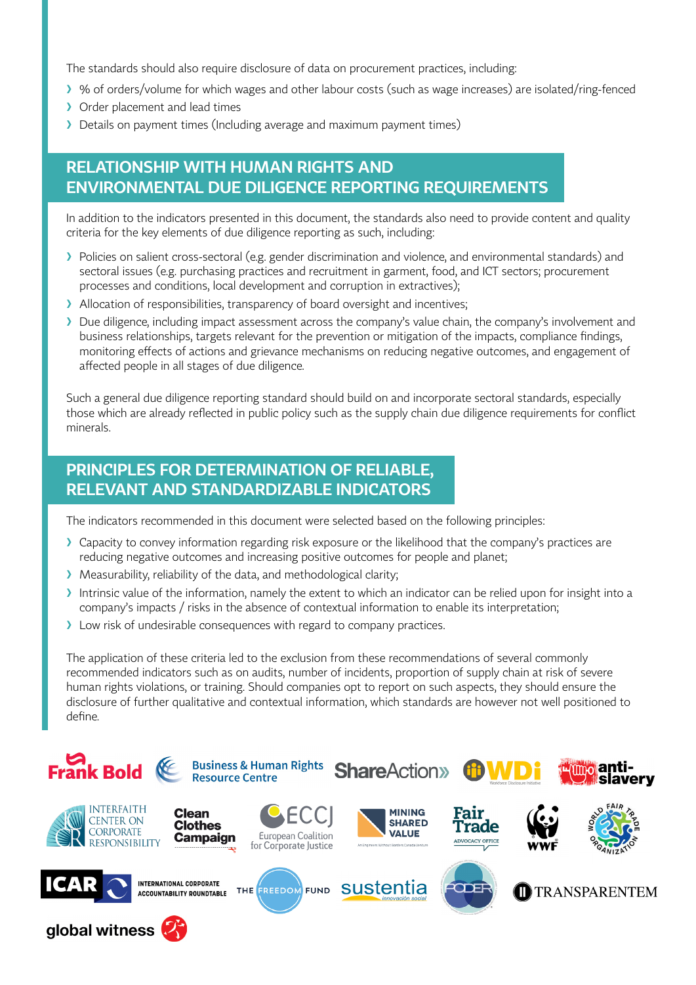The standards should also require disclosure of data on procurement practices, including:

- ❯ % of orders/volume for which wages and other labour costs (such as wage increases) are isolated/ring-fenced
- > Order placement and lead times
- ▶ Details on payment times (Including average and maximum payment times)

# **RELATIONSHIP WITH HUMAN RIGHTS AND ENVIRONMENTAL DUE DILIGENCE REPORTING REQUIREMENTS**

In addition to the indicators presented in this document, the standards also need to provide content and quality criteria for the key elements of due diligence reporting as such, including:

- ❯ Policies on salient cross-sectoral (e.g. gender discrimination and violence, and environmental standards) and sectoral issues (e.g. purchasing practices and recruitment in garment, food, and ICT sectors; procurement processes and conditions, local development and corruption in extractives);
- Allocation of responsibilities, transparency of board oversight and incentives;
- ❯ Due diligence, including impact assessment across the company's value chain, the company's involvement and business relationships, targets relevant for the prevention or mitigation of the impacts, compliance findings, monitoring effects of actions and grievance mechanisms on reducing negative outcomes, and engagement of affected people in all stages of due diligence.

Such a general due diligence reporting standard should build on and incorporate sectoral standards, especially those which are already reflected in public policy such as the supply chain due diligence requirements for conflict minerals.

# **PRINCIPLES FOR DETERMINATION OF RELIABLE, RELEVANT AND STANDARDIZABLE INDICATORS**

The indicators recommended in this document were selected based on the following principles:

- ❯ Capacity to convey information regarding risk exposure or the likelihood that the company's practices are reducing negative outcomes and increasing positive outcomes for people and planet;
- > Measurability, reliability of the data, and methodological clarity;
- Intrinsic value of the information, namely the extent to which an indicator can be relied upon for insight into a company's impacts / risks in the absence of contextual information to enable its interpretation;
- > Low risk of undesirable consequences with regard to company practices.

The application of these criteria led to the exclusion from these recommendations of several commonly recommended indicators such as on audits, number of incidents, proportion of supply chain at risk of severe human rights violations, or training. Should companies opt to report on such aspects, they should ensure the disclosure of further qualitative and contextual information, which standards are however not well positioned to define.